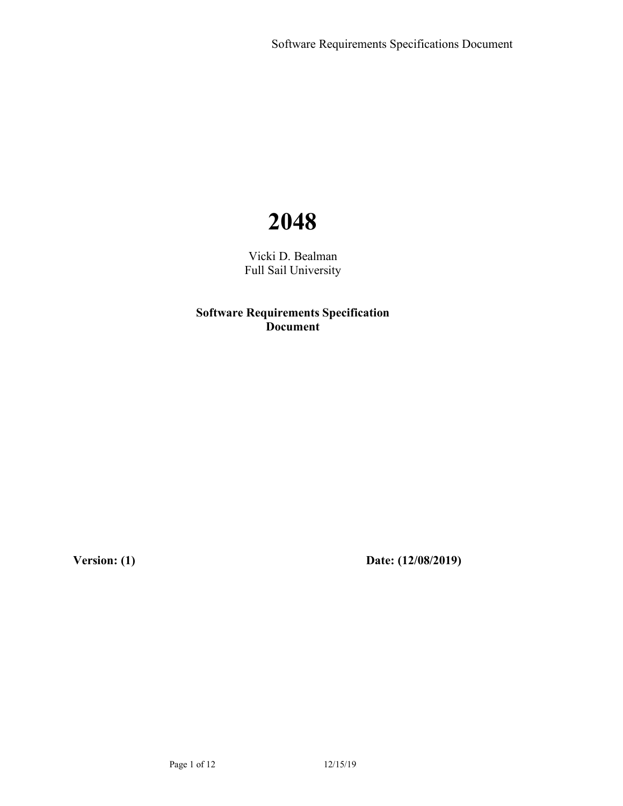# **2048**

Vicki D. Bealman Full Sail University

**Software Requirements Specification Document**

**Version: (1) Date: (12/08/2019)**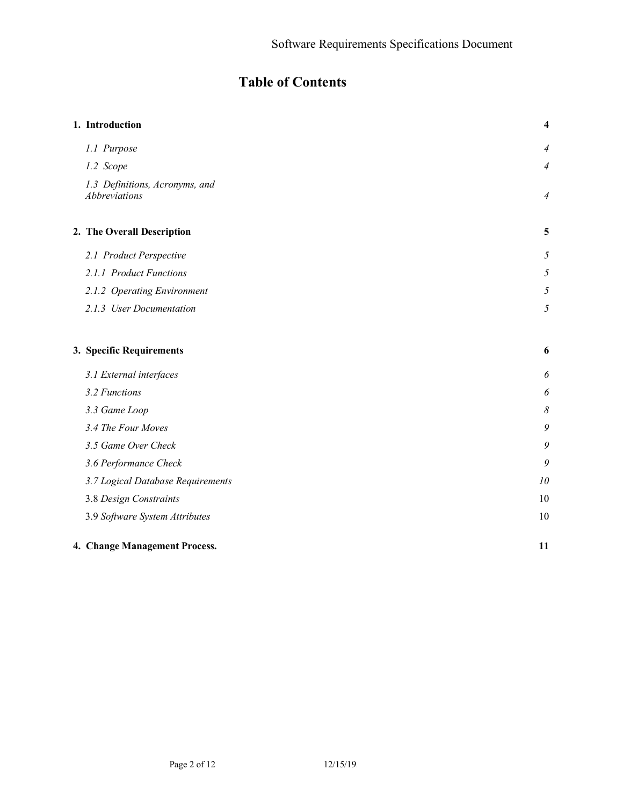## **Table of Contents**

| 1. Introduction                                 | $\overline{\mathbf{4}}$ |
|-------------------------------------------------|-------------------------|
| 1.1 Purpose                                     | $\overline{4}$          |
| 1.2 Scope                                       | $\overline{4}$          |
| 1.3 Definitions, Acronyms, and<br>Abbreviations | $\overline{4}$          |
| 2. The Overall Description                      | 5                       |
| 2.1 Product Perspective                         | 5                       |
| 2.1.1 Product Functions                         | $\mathfrak{H}$          |
| 2.1.2 Operating Environment                     | $\sqrt{2}$              |
| 2.1.3 User Documentation                        | $\mathfrak{H}$          |
| 3. Specific Requirements                        | 6                       |
| 3.1 External interfaces                         | 6                       |
| 3.2 Functions                                   | 6                       |
| 3.3 Game Loop                                   | $\delta$                |
| 3.4 The Four Moves                              | 9                       |
| 3.5 Game Over Check                             | 9                       |
| 3.6 Performance Check                           | 9                       |
| 3.7 Logical Database Requirements               | 10                      |
| 3.8 Design Constraints                          | 10                      |
| 3.9 Software System Attributes                  | 10                      |
| 4. Change Management Process.                   | 11                      |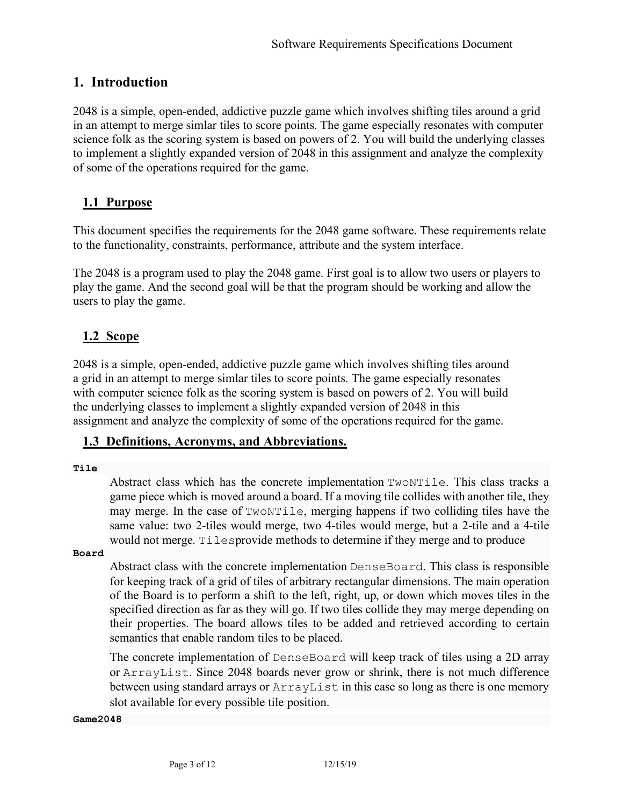## **1. Introduction**

2048 is a simple, open-ended, addictive puzzle game which involves shifting tiles around a grid in an attempt to merge simlar tiles to score points. The game especially resonates with computer science folk as the scoring system is based on powers of 2. You will build the underlying classes to implement a slightly expanded version of 2048 in this assignment and analyze the complexity of some of the operations required for the game.

## **1.1 Purpose**

This document specifies the requirements for the 2048 game software. These requirements relate to the functionality, constraints, performance, attribute and the system interface.

The 2048 is a program used to play the 2048 game. First goal is to allow two users or players to play the game. And the second goal will be that the program should be working and allow the users to play the game.

## **1.2 Scope**

2048 is a simple, open-ended, addictive puzzle game which involves shifting tiles around a grid in an attempt to merge simlar tiles to score points. The game especially resonates with computer science folk as the scoring system is based on powers of 2. You will build the underlying classes to implement a slightly expanded version of 2048 in this assignment and analyze the complexity of some of the operations required for the game.

## **1.3 Definitions, Acronyms, and Abbreviations.**

#### **Tile**

Abstract class which has the concrete implementation TwoNTile. This class tracks a game piece which is moved around a board. If a moving tile collides with another tile, they may merge. In the case of TwoNTile, merging happens if two colliding tiles have the same value: two 2-tiles would merge, two 4-tiles would merge, but a 2-tile and a 4-tile would not merge. Tilesprovide methods to determine if they merge and to produce

#### **Board**

Abstract class with the concrete implementation DenseBoard. This class is responsible for keeping track of a grid of tiles of arbitrary rectangular dimensions. The main operation of the Board is to perform a shift to the left, right, up, or down which moves tiles in the specified direction as far as they will go. If two tiles collide they may merge depending on their properties. The board allows tiles to be added and retrieved according to certain semantics that enable random tiles to be placed.

The concrete implementation of DenseBoard will keep track of tiles using a 2D array or ArrayList. Since 2048 boards never grow or shrink, there is not much difference between using standard arrays or  $ArravList$  in this case so long as there is one memory slot available for every possible tile position.

#### **Game2048**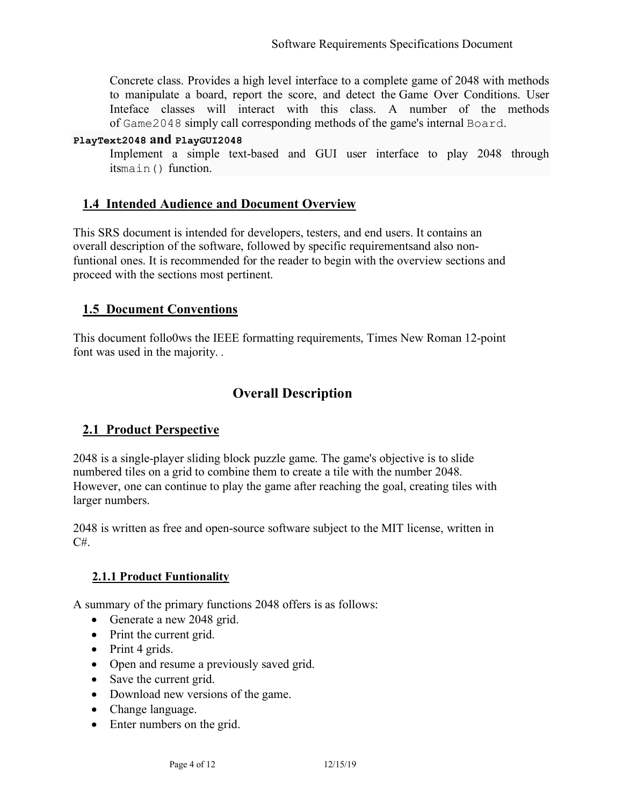Concrete class. Provides a high level interface to a complete game of 2048 with methods to manipulate a board, report the score, and detect the Game Over Conditions. User Inteface classes will interact with this class. A number of the methods of Game2048 simply call corresponding methods of the game's internal Board.

#### **PlayText2048 and PlayGUI2048**

Implement a simple text-based and GUI user interface to play 2048 through itsmain() function.

## **1.4 Intended Audience and Document Overview**

This SRS document is intended for developers, testers, and end users. It contains an overall description of the software, followed by specific requirementsand also nonfuntional ones. It is recommended for the reader to begin with the overview sections and proceed with the sections most pertinent.

## **1.5 Document Conventions**

This document follo0ws the IEEE formatting requirements, Times New Roman 12-point font was used in the majority. *.*

## **Overall Description**

## **2.1 Product Perspective**

2048 is a single-player sliding block puzzle game. The game's objective is to slide numbered tiles on a grid to combine them to create a tile with the number 2048. However, one can continue to play the game after reaching the goal, creating tiles with larger numbers.

2048 is written as free and open-source software subject to the MIT license, written in C#.

### **2.1.1 Product Funtionality**

A summary of the primary functions 2048 offers is as follows:

- Generate a new 2048 grid.
- Print the current grid.
- Print 4 grids.
- Open and resume a previously saved grid.
- Save the current grid.
- Download new versions of the game.
- Change language.
- Enter numbers on the grid.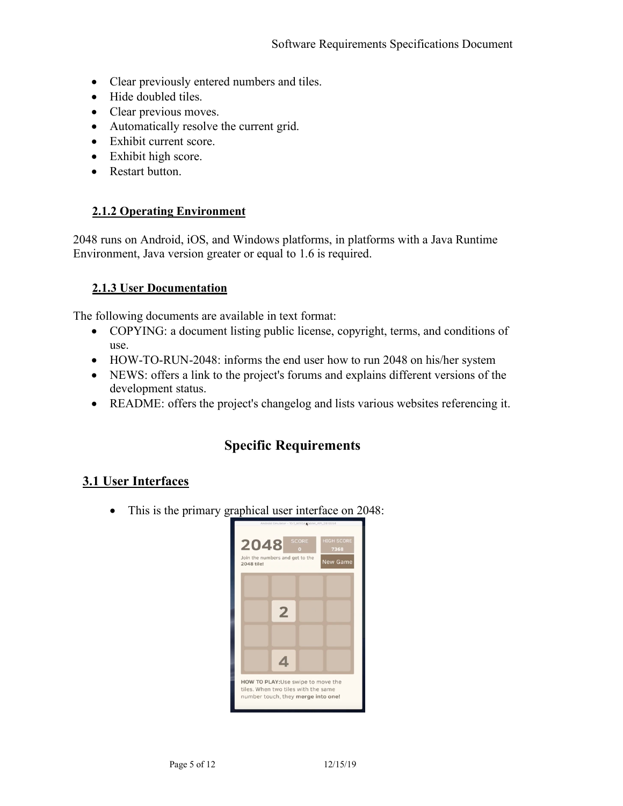- Clear previously entered numbers and tiles.
- Hide doubled tiles.
- Clear previous moves.
- Automatically resolve the current grid.
- Exhibit current score.
- Exhibit high score.
- Restart button.

### **2.1.2 Operating Environment**

2048 runs on Android, iOS, and Windows platforms, in platforms with a Java Runtime Environment, Java version greater or equal to 1.6 is required.

### **2.1.3 User Documentation**

The following documents are available in text format:

- COPYING: a document listing public license, copyright, terms, and conditions of use.
- HOW-TO-RUN-2048: informs the end user how to run 2048 on his/her system
- NEWS: offers a link to the project's forums and explains different versions of the development status.
- README: offers the project's changelog and lists various websites referencing it.

## **Specific Requirements**

## **3.1 User Interfaces**

• This is the primary graphical user interface on 2048:

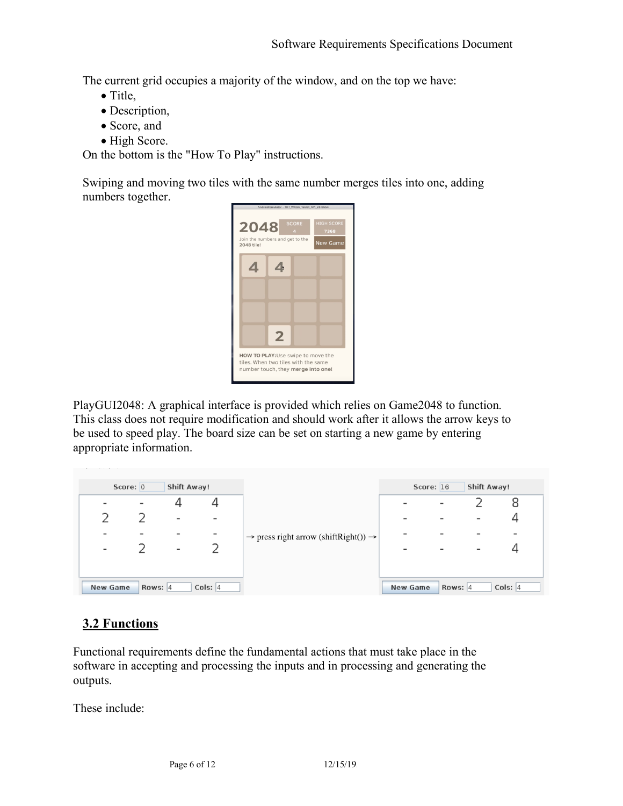The current grid occupies a majority of the window, and on the top we have:

- Title,
- Description,
- Score, and
- High Score.

On the bottom is the "How To Play" instructions.

Swiping and moving two tiles with the same number merges tiles into one, adding numbers together.



PlayGUI2048: A graphical interface is provided which relies on Game2048 to function. This class does not require modification and should work after it allows the arrow keys to be used to speed play. The board size can be set on starting a new game by entering appropriate information.

|                          | Score: $0$               | Shift Away!              |                          | $\rightarrow$ press right arrow (shift Right()) $\rightarrow$ | Shift Away!<br>Score: $16$ |                          |                          |             |
|--------------------------|--------------------------|--------------------------|--------------------------|---------------------------------------------------------------|----------------------------|--------------------------|--------------------------|-------------|
| $\overline{\phantom{0}}$ | $\overline{\phantom{a}}$ |                          |                          |                                                               | $\overline{\phantom{a}}$   | $\overline{\phantom{a}}$ |                          |             |
|                          |                          | $\overline{\phantom{a}}$ | $\overline{\phantom{a}}$ |                                                               | $\overline{\phantom{a}}$   |                          | $\overline{\phantom{a}}$ |             |
|                          |                          |                          |                          |                                                               |                            |                          |                          |             |
| $\overline{\phantom{a}}$ |                          | $\overline{\phantom{a}}$ |                          |                                                               | $\overline{\phantom{0}}$   |                          | $\overline{\phantom{0}}$ |             |
|                          |                          |                          |                          |                                                               |                            |                          |                          |             |
| New Game                 | Rows: $ 4$               |                          | Cols: $ 4 $              |                                                               | New Game                   | Rows: $ 4 $              |                          | Cols: $ 4 $ |

## **3.2 Functions**

Functional requirements define the fundamental actions that must take place in the software in accepting and processing the inputs and in processing and generating the outputs.

These include: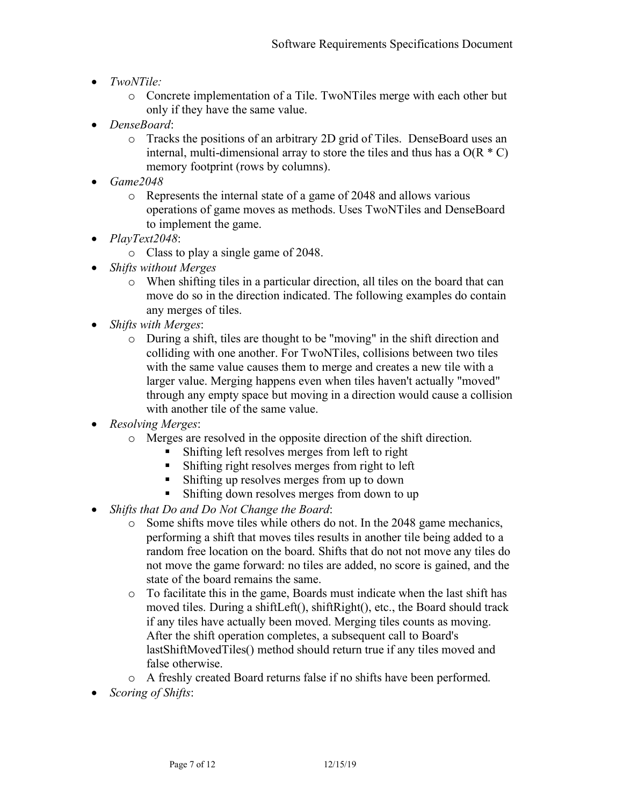- *TwoNTile:*
	- o Concrete implementation of a Tile. TwoNTiles merge with each other but only if they have the same value.
- *DenseBoard*:
	- o Tracks the positions of an arbitrary 2D grid of Tiles. DenseBoard uses an internal, multi-dimensional array to store the tiles and thus has a  $O(R * C)$ memory footprint (rows by columns).
- *Game2048*
	- o Represents the internal state of a game of 2048 and allows various operations of game moves as methods. Uses TwoNTiles and DenseBoard to implement the game.
- *PlayText2048*:
	- o Class to play a single game of 2048.
- *Shifts without Merges*
	- o When shifting tiles in a particular direction, all tiles on the board that can move do so in the direction indicated. The following examples do contain any merges of tiles.
- *Shifts with Merges*:
	- o During a shift, tiles are thought to be "moving" in the shift direction and colliding with one another. For TwoNTiles, collisions between two tiles with the same value causes them to merge and creates a new tile with a larger value. Merging happens even when tiles haven't actually "moved" through any empty space but moving in a direction would cause a collision with another tile of the same value.
- *Resolving Merges*:
	- o Merges are resolved in the opposite direction of the shift direction.
		- Shifting left resolves merges from left to right
		- Shifting right resolves merges from right to left
		- Shifting up resolves merges from up to down
		- Shifting down resolves merges from down to up
- *Shifts that Do and Do Not Change the Board*:
	- o Some shifts move tiles while others do not. In the 2048 game mechanics, performing a shift that moves tiles results in another tile being added to a random free location on the board. Shifts that do not not move any tiles do not move the game forward: no tiles are added, no score is gained, and the state of the board remains the same.
	- o To facilitate this in the game, Boards must indicate when the last shift has moved tiles. During a shiftLeft(), shiftRight(), etc., the Board should track if any tiles have actually been moved. Merging tiles counts as moving. After the shift operation completes, a subsequent call to Board's lastShiftMovedTiles() method should return true if any tiles moved and false otherwise.
	- o A freshly created Board returns false if no shifts have been performed.
- *Scoring of Shifts*: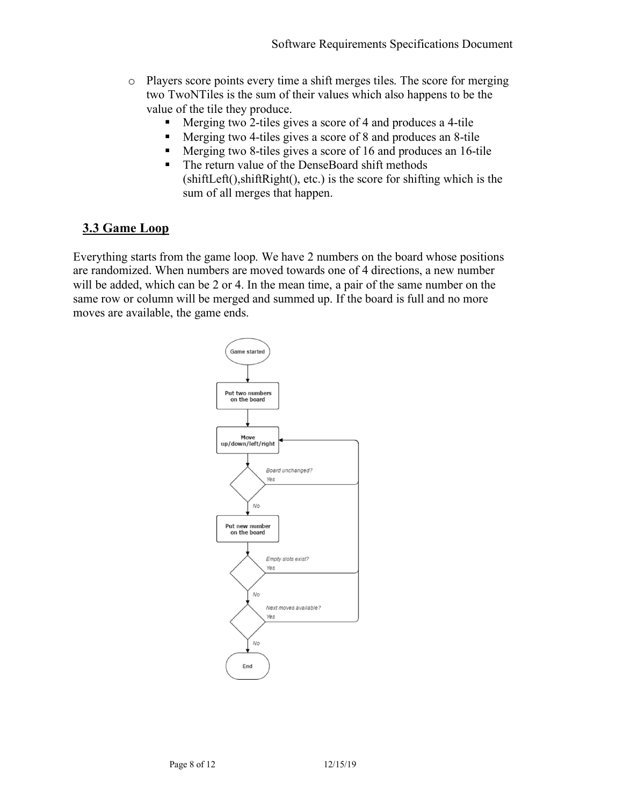- o Players score points every time a shift merges tiles. The score for merging two TwoNTiles is the sum of their values which also happens to be the value of the tile they produce.
	- § Merging two 2-tiles gives a score of 4 and produces a 4-tile
	- Merging two 4-tiles gives a score of 8 and produces an 8-tile
	- § Merging two 8-tiles gives a score of 16 and produces an 16-tile
	- The return value of the DenseBoard shift methods (shiftLeft(),shiftRight(), etc.) is the score for shifting which is the sum of all merges that happen.

## **3.3 Game Loop**

Everything starts from the game loop. We have 2 numbers on the board whose positions are randomized. When numbers are moved towards one of 4 directions, a new number will be added, which can be 2 or 4. In the mean time, a pair of the same number on the same row or column will be merged and summed up. If the board is full and no more moves are available, the game ends.

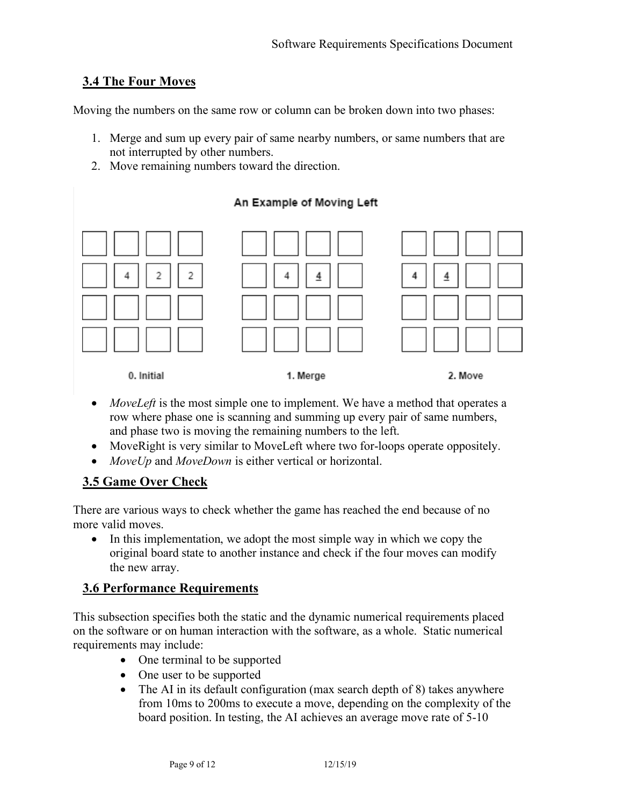## **3.4 The Four Moves**

Moving the numbers on the same row or column can be broken down into two phases:

- 1. Merge and sum up every pair of same nearby numbers, or same numbers that are not interrupted by other numbers.
- 2. Move remaining numbers toward the direction.



- *MoveLeft* is the most simple one to implement. We have a method that operates a row where phase one is scanning and summing up every pair of same numbers, and phase two is moving the remaining numbers to the left.
- MoveRight is very similar to MoveLeft where two for-loops operate oppositely.
- *MoveUp* and *MoveDown* is either vertical or horizontal.

## **3.5 Game Over Check**

There are various ways to check whether the game has reached the end because of no more valid moves.

• In this implementation, we adopt the most simple way in which we copy the original board state to another instance and check if the four moves can modify the new array.

### **3.6 Performance Requirements**

This subsection specifies both the static and the dynamic numerical requirements placed on the software or on human interaction with the software, as a whole. Static numerical requirements may include:

- One terminal to be supported
- One user to be supported
- The AI in its default configuration (max search depth of 8) takes anywhere from 10ms to 200ms to execute a move, depending on the complexity of the board position. In testing, the AI achieves an average move rate of 5-10

## An Example of Moving Left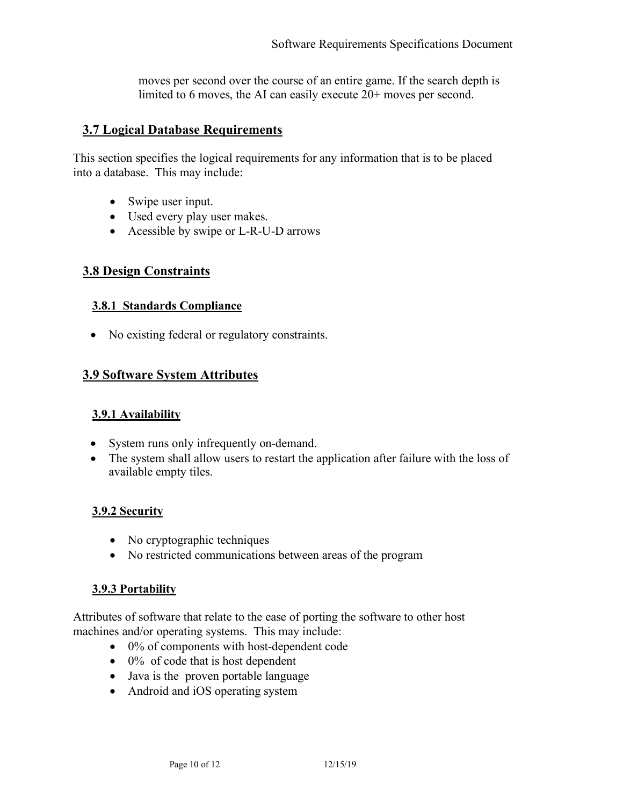moves per second over the course of an entire game. If the search depth is limited to 6 moves, the AI can easily execute 20+ moves per second.

## **3.7 Logical Database Requirements**

This section specifies the logical requirements for any information that is to be placed into a database. This may include:

- Swipe user input.
- Used every play user makes.
- Acessible by swipe or L-R-U-D arrows

## **3.8 Design Constraints**

### **3.8.1 Standards Compliance**

• No existing federal or regulatory constraints.

## **3.9 Software System Attributes**

### **3.9.1 Availability**

- System runs only infrequently on-demand.
- The system shall allow users to restart the application after failure with the loss of available empty tiles.

### **3.9.2 Security**

- No cryptographic techniques
- No restricted communications between areas of the program

### **3.9.3 Portability**

Attributes of software that relate to the ease of porting the software to other host machines and/or operating systems. This may include:

- 0% of components with host-dependent code
- $\bullet$  0% of code that is host dependent
- Java is the proven portable language
- Android and iOS operating system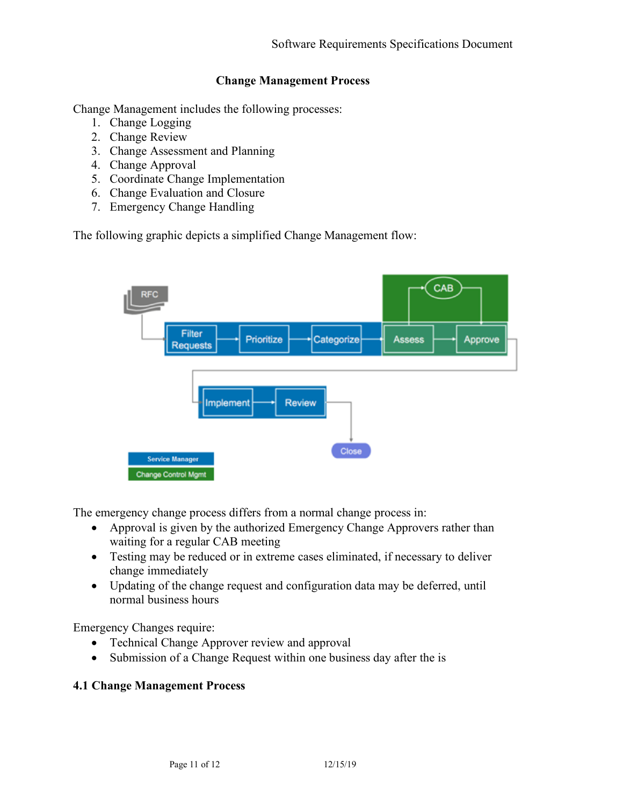#### **Change Management Process**

Change Management includes the following processes:

- 1. Change Logging
- 2. Change Review
- 3. Change Assessment and Planning
- 4. Change Approval
- 5. Coordinate Change Implementation
- 6. Change Evaluation and Closure
- 7. Emergency Change Handling

The following graphic depicts a simplified Change Management flow:



The emergency change process differs from a normal change process in:

- Approval is given by the authorized Emergency Change Approvers rather than waiting for a regular CAB meeting
- Testing may be reduced or in extreme cases eliminated, if necessary to deliver change immediately
- Updating of the change request and configuration data may be deferred, until normal business hours

Emergency Changes require:

- Technical Change Approver review and approval
- Submission of a Change Request within one business day after the is

#### **4.1 Change Management Process**